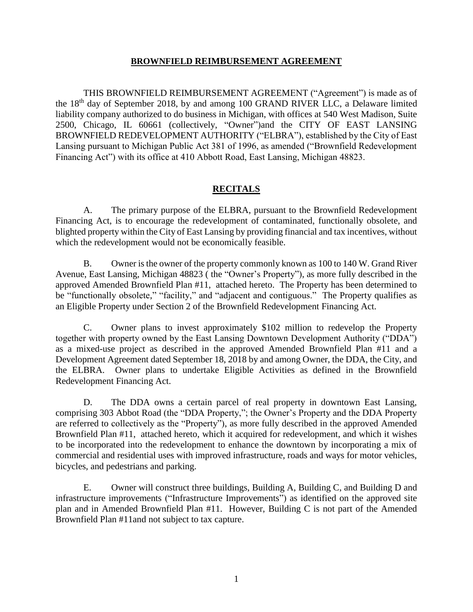### **BROWNFIELD REIMBURSEMENT AGREEMENT**

THIS BROWNFIELD REIMBURSEMENT AGREEMENT ("Agreement") is made as of the 18th day of September 2018, by and among 100 GRAND RIVER LLC, a Delaware limited liability company authorized to do business in Michigan, with offices at 540 West Madison, Suite 2500, Chicago, IL 60661 (collectively, "Owner")and the CITY OF EAST LANSING BROWNFIELD REDEVELOPMENT AUTHORITY ("ELBRA"), established by the City of East Lansing pursuant to Michigan Public Act 381 of 1996, as amended ("Brownfield Redevelopment Financing Act") with its office at 410 Abbott Road, East Lansing, Michigan 48823.

## **RECITALS**

A. The primary purpose of the ELBRA, pursuant to the Brownfield Redevelopment Financing Act, is to encourage the redevelopment of contaminated, functionally obsolete, and blighted property within the City of East Lansing by providing financial and tax incentives, without which the redevelopment would not be economically feasible.

B. Owner is the owner of the property commonly known as 100 to 140 W. Grand River Avenue, East Lansing, Michigan 48823 ( the "Owner's Property"), as more fully described in the approved Amended Brownfield Plan #11, attached hereto. The Property has been determined to be "functionally obsolete," "facility," and "adjacent and contiguous." The Property qualifies as an Eligible Property under Section 2 of the Brownfield Redevelopment Financing Act.

C. Owner plans to invest approximately \$102 million to redevelop the Property together with property owned by the East Lansing Downtown Development Authority ("DDA") as a mixed-use project as described in the approved Amended Brownfield Plan #11 and a Development Agreement dated September 18, 2018 by and among Owner, the DDA, the City, and the ELBRA. Owner plans to undertake Eligible Activities as defined in the Brownfield Redevelopment Financing Act.

D. The DDA owns a certain parcel of real property in downtown East Lansing, comprising 303 Abbot Road (the "DDA Property,"; the Owner's Property and the DDA Property are referred to collectively as the "Property"), as more fully described in the approved Amended Brownfield Plan #11, attached hereto, which it acquired for redevelopment, and which it wishes to be incorporated into the redevelopment to enhance the downtown by incorporating a mix of commercial and residential uses with improved infrastructure, roads and ways for motor vehicles, bicycles, and pedestrians and parking.

E. Owner will construct three buildings, Building A, Building C, and Building D and infrastructure improvements ("Infrastructure Improvements") as identified on the approved site plan and in Amended Brownfield Plan #11. However, Building C is not part of the Amended Brownfield Plan #11and not subject to tax capture.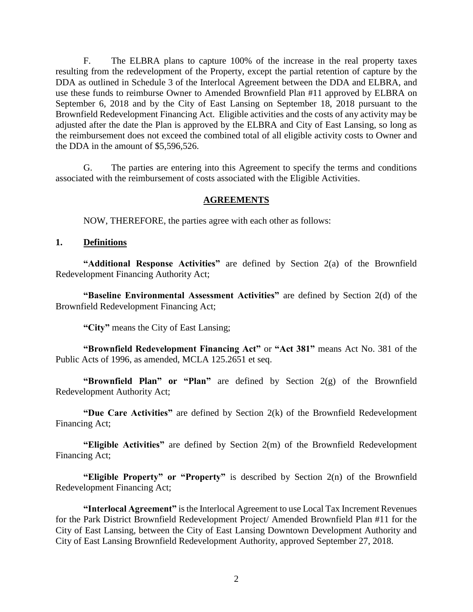F. The ELBRA plans to capture 100% of the increase in the real property taxes resulting from the redevelopment of the Property, except the partial retention of capture by the DDA as outlined in Schedule 3 of the Interlocal Agreement between the DDA and ELBRA, and use these funds to reimburse Owner to Amended Brownfield Plan #11 approved by ELBRA on September 6, 2018 and by the City of East Lansing on September 18, 2018 pursuant to the Brownfield Redevelopment Financing Act. Eligible activities and the costs of any activity may be adjusted after the date the Plan is approved by the ELBRA and City of East Lansing, so long as the reimbursement does not exceed the combined total of all eligible activity costs to Owner and the DDA in the amount of \$5,596,526.

G. The parties are entering into this Agreement to specify the terms and conditions associated with the reimbursement of costs associated with the Eligible Activities.

### **AGREEMENTS**

NOW, THEREFORE, the parties agree with each other as follows:

### **1. Definitions**

**"Additional Response Activities"** are defined by Section 2(a) of the Brownfield Redevelopment Financing Authority Act;

**"Baseline Environmental Assessment Activities"** are defined by Section 2(d) of the Brownfield Redevelopment Financing Act;

**"City"** means the City of East Lansing;

**"Brownfield Redevelopment Financing Act"** or **"Act 381"** means Act No. 381 of the Public Acts of 1996, as amended, MCLA 125.2651 et seq.

**"Brownfield Plan" or "Plan"** are defined by Section 2(g) of the Brownfield Redevelopment Authority Act;

**"Due Care Activities"** are defined by Section 2(k) of the Brownfield Redevelopment Financing Act;

**"Eligible Activities"** are defined by Section 2(m) of the Brownfield Redevelopment Financing Act;

**"Eligible Property" or "Property"** is described by Section 2(n) of the Brownfield Redevelopment Financing Act;

**"Interlocal Agreement"** is the Interlocal Agreement to use Local Tax Increment Revenues for the Park District Brownfield Redevelopment Project/ Amended Brownfield Plan #11 for the City of East Lansing, between the City of East Lansing Downtown Development Authority and City of East Lansing Brownfield Redevelopment Authority, approved September 27, 2018.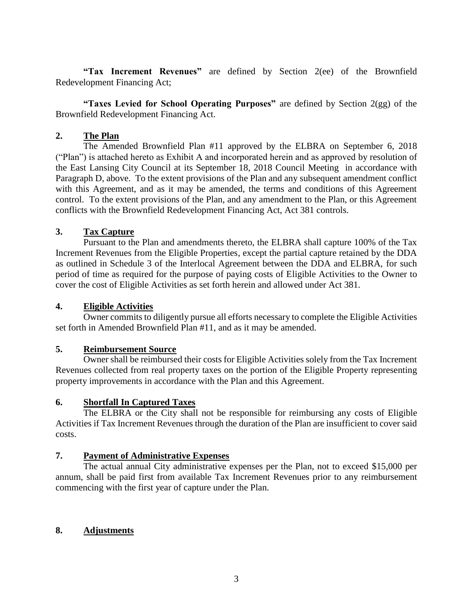**"Tax Increment Revenues"** are defined by Section 2(ee) of the Brownfield Redevelopment Financing Act;

**"Taxes Levied for School Operating Purposes"** are defined by Section 2(gg) of the Brownfield Redevelopment Financing Act.

### **2. The Plan**

The Amended Brownfield Plan #11 approved by the ELBRA on September 6, 2018 ("Plan") is attached hereto as Exhibit A and incorporated herein and as approved by resolution of the East Lansing City Council at its September 18, 2018 Council Meeting in accordance with Paragraph D, above. To the extent provisions of the Plan and any subsequent amendment conflict with this Agreement, and as it may be amended, the terms and conditions of this Agreement control. To the extent provisions of the Plan, and any amendment to the Plan, or this Agreement conflicts with the Brownfield Redevelopment Financing Act, Act 381 controls.

### **3. Tax Capture**

Pursuant to the Plan and amendments thereto, the ELBRA shall capture 100% of the Tax Increment Revenues from the Eligible Properties, except the partial capture retained by the DDA as outlined in Schedule 3 of the Interlocal Agreement between the DDA and ELBRA, for such period of time as required for the purpose of paying costs of Eligible Activities to the Owner to cover the cost of Eligible Activities as set forth herein and allowed under Act 381.

### **4. Eligible Activities**

Owner commits to diligently pursue all efforts necessary to complete the Eligible Activities set forth in Amended Brownfield Plan #11, and as it may be amended.

### **5. Reimbursement Source**

Owner shall be reimbursed their costs for Eligible Activities solely from the Tax Increment Revenues collected from real property taxes on the portion of the Eligible Property representing property improvements in accordance with the Plan and this Agreement.

### **6. Shortfall In Captured Taxes**

The ELBRA or the City shall not be responsible for reimbursing any costs of Eligible Activities if Tax Increment Revenues through the duration of the Plan are insufficient to cover said costs.

### **7. Payment of Administrative Expenses**

The actual annual City administrative expenses per the Plan, not to exceed \$15,000 per annum, shall be paid first from available Tax Increment Revenues prior to any reimbursement commencing with the first year of capture under the Plan.

### **8. Adjustments**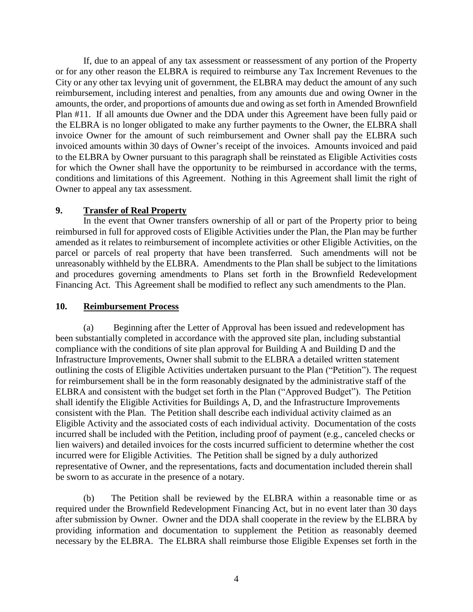If, due to an appeal of any tax assessment or reassessment of any portion of the Property or for any other reason the ELBRA is required to reimburse any Tax Increment Revenues to the City or any other tax levying unit of government, the ELBRA may deduct the amount of any such reimbursement, including interest and penalties, from any amounts due and owing Owner in the amounts, the order, and proportions of amounts due and owing as set forth in Amended Brownfield Plan #11. If all amounts due Owner and the DDA under this Agreement have been fully paid or the ELBRA is no longer obligated to make any further payments to the Owner, the ELBRA shall invoice Owner for the amount of such reimbursement and Owner shall pay the ELBRA such invoiced amounts within 30 days of Owner's receipt of the invoices. Amounts invoiced and paid to the ELBRA by Owner pursuant to this paragraph shall be reinstated as Eligible Activities costs for which the Owner shall have the opportunity to be reimbursed in accordance with the terms, conditions and limitations of this Agreement. Nothing in this Agreement shall limit the right of Owner to appeal any tax assessment.

### **9. Transfer of Real Property**

In the event that Owner transfers ownership of all or part of the Property prior to being reimbursed in full for approved costs of Eligible Activities under the Plan, the Plan may be further amended as it relates to reimbursement of incomplete activities or other Eligible Activities, on the parcel or parcels of real property that have been transferred. Such amendments will not be unreasonably withheld by the ELBRA. Amendments to the Plan shall be subject to the limitations and procedures governing amendments to Plans set forth in the Brownfield Redevelopment Financing Act. This Agreement shall be modified to reflect any such amendments to the Plan.

#### **10. Reimbursement Process**

(a) Beginning after the Letter of Approval has been issued and redevelopment has been substantially completed in accordance with the approved site plan, including substantial compliance with the conditions of site plan approval for Building A and Building D and the Infrastructure Improvements, Owner shall submit to the ELBRA a detailed written statement outlining the costs of Eligible Activities undertaken pursuant to the Plan ("Petition"). The request for reimbursement shall be in the form reasonably designated by the administrative staff of the ELBRA and consistent with the budget set forth in the Plan ("Approved Budget"). The Petition shall identify the Eligible Activities for Buildings A, D, and the Infrastructure Improvements consistent with the Plan. The Petition shall describe each individual activity claimed as an Eligible Activity and the associated costs of each individual activity. Documentation of the costs incurred shall be included with the Petition, including proof of payment (e.g., canceled checks or lien waivers) and detailed invoices for the costs incurred sufficient to determine whether the cost incurred were for Eligible Activities. The Petition shall be signed by a duly authorized representative of Owner, and the representations, facts and documentation included therein shall be sworn to as accurate in the presence of a notary.

(b) The Petition shall be reviewed by the ELBRA within a reasonable time or as required under the Brownfield Redevelopment Financing Act, but in no event later than 30 days after submission by Owner. Owner and the DDA shall cooperate in the review by the ELBRA by providing information and documentation to supplement the Petition as reasonably deemed necessary by the ELBRA. The ELBRA shall reimburse those Eligible Expenses set forth in the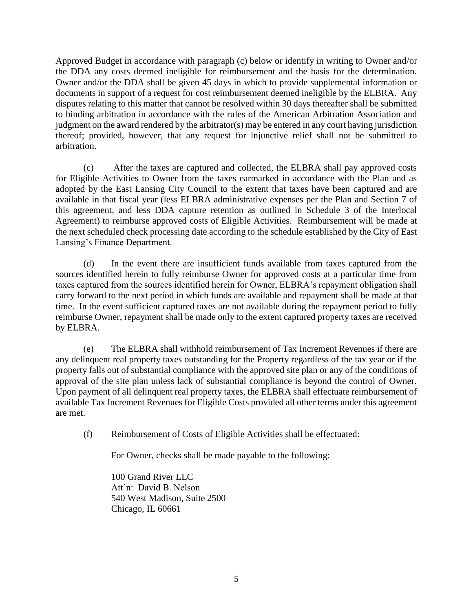Approved Budget in accordance with paragraph (c) below or identify in writing to Owner and/or the DDA any costs deemed ineligible for reimbursement and the basis for the determination. Owner and/or the DDA shall be given 45 days in which to provide supplemental information or documents in support of a request for cost reimbursement deemed ineligible by the ELBRA. Any disputes relating to this matter that cannot be resolved within 30 days thereafter shall be submitted to binding arbitration in accordance with the rules of the American Arbitration Association and judgment on the award rendered by the arbitrator(s) may be entered in any court having jurisdiction thereof; provided, however, that any request for injunctive relief shall not be submitted to arbitration.

(c) After the taxes are captured and collected, the ELBRA shall pay approved costs for Eligible Activities to Owner from the taxes earmarked in accordance with the Plan and as adopted by the East Lansing City Council to the extent that taxes have been captured and are available in that fiscal year (less ELBRA administrative expenses per the Plan and Section 7 of this agreement, and less DDA capture retention as outlined in Schedule 3 of the Interlocal Agreement) to reimburse approved costs of Eligible Activities. Reimbursement will be made at the next scheduled check processing date according to the schedule established by the City of East Lansing's Finance Department.

(d) In the event there are insufficient funds available from taxes captured from the sources identified herein to fully reimburse Owner for approved costs at a particular time from taxes captured from the sources identified herein for Owner, ELBRA's repayment obligation shall carry forward to the next period in which funds are available and repayment shall be made at that time. In the event sufficient captured taxes are not available during the repayment period to fully reimburse Owner, repayment shall be made only to the extent captured property taxes are received by ELBRA.

(e) The ELBRA shall withhold reimbursement of Tax Increment Revenues if there are any delinquent real property taxes outstanding for the Property regardless of the tax year or if the property falls out of substantial compliance with the approved site plan or any of the conditions of approval of the site plan unless lack of substantial compliance is beyond the control of Owner. Upon payment of all delinquent real property taxes, the ELBRA shall effectuate reimbursement of available Tax Increment Revenues for Eligible Costs provided all other terms under this agreement are met.

(f) Reimbursement of Costs of Eligible Activities shall be effectuated:

For Owner, checks shall be made payable to the following:

100 Grand River LLC Att'n: David B. Nelson 540 West Madison, Suite 2500 Chicago, IL 60661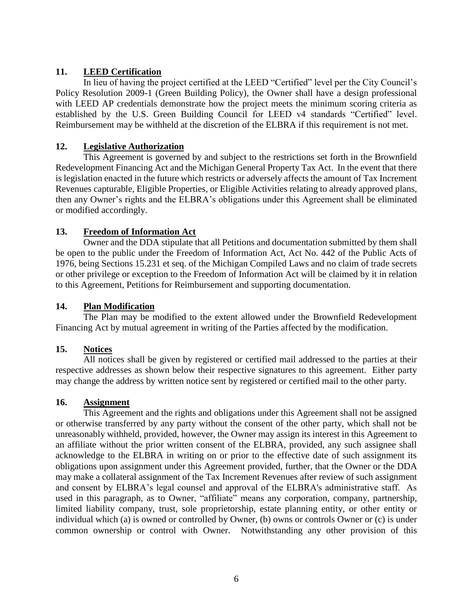## **11. LEED Certification**

In lieu of having the project certified at the LEED "Certified" level per the City Council's Policy Resolution 2009-1 (Green Building Policy), the Owner shall have a design professional with LEED AP credentials demonstrate how the project meets the minimum scoring criteria as established by the U.S. Green Building Council for LEED v4 standards "Certified" level. Reimbursement may be withheld at the discretion of the ELBRA if this requirement is not met.

## **12. Legislative Authorization**

This Agreement is governed by and subject to the restrictions set forth in the Brownfield Redevelopment Financing Act and the Michigan General Property Tax Act. In the event that there is legislation enacted in the future which restricts or adversely affects the amount of Tax Increment Revenues capturable, Eligible Properties, or Eligible Activities relating to already approved plans, then any Owner's rights and the ELBRA's obligations under this Agreement shall be eliminated or modified accordingly.

## **13. Freedom of Information Act**

Owner and the DDA stipulate that all Petitions and documentation submitted by them shall be open to the public under the Freedom of Information Act, Act No. 442 of the Public Acts of 1976, being Sections 15.231 et seq. of the Michigan Compiled Laws and no claim of trade secrets or other privilege or exception to the Freedom of Information Act will be claimed by it in relation to this Agreement, Petitions for Reimbursement and supporting documentation.

## **14. Plan Modification**

The Plan may be modified to the extent allowed under the Brownfield Redevelopment Financing Act by mutual agreement in writing of the Parties affected by the modification.

## **15. Notices**

All notices shall be given by registered or certified mail addressed to the parties at their respective addresses as shown below their respective signatures to this agreement. Either party may change the address by written notice sent by registered or certified mail to the other party.

## **16. Assignment**

This Agreement and the rights and obligations under this Agreement shall not be assigned or otherwise transferred by any party without the consent of the other party, which shall not be unreasonably withheld, provided, however, the Owner may assign its interest in this Agreement to an affiliate without the prior written consent of the ELBRA, provided, any such assignee shall acknowledge to the ELBRA in writing on or prior to the effective date of such assignment its obligations upon assignment under this Agreement provided, further, that the Owner or the DDA may make a collateral assignment of the Tax Increment Revenues after review of such assignment and consent by ELBRA's legal counsel and approval of the ELBRA's administrative staff. As used in this paragraph, as to Owner, "affiliate" means any corporation, company, partnership, limited liability company, trust, sole proprietorship, estate planning entity, or other entity or individual which (a) is owned or controlled by Owner, (b) owns or controls Owner or (c) is under common ownership or control with Owner. Notwithstanding any other provision of this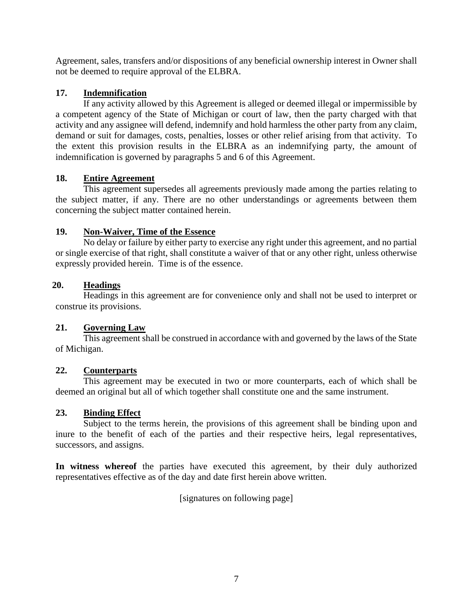Agreement, sales, transfers and/or dispositions of any beneficial ownership interest in Owner shall not be deemed to require approval of the ELBRA.

## **17. Indemnification**

If any activity allowed by this Agreement is alleged or deemed illegal or impermissible by a competent agency of the State of Michigan or court of law, then the party charged with that activity and any assignee will defend, indemnify and hold harmless the other party from any claim, demand or suit for damages, costs, penalties, losses or other relief arising from that activity. To the extent this provision results in the ELBRA as an indemnifying party, the amount of indemnification is governed by paragraphs 5 and 6 of this Agreement.

## **18. Entire Agreement**

This agreement supersedes all agreements previously made among the parties relating to the subject matter, if any. There are no other understandings or agreements between them concerning the subject matter contained herein.

## **19. Non-Waiver, Time of the Essence**

No delay or failure by either party to exercise any right under this agreement, and no partial or single exercise of that right, shall constitute a waiver of that or any other right, unless otherwise expressly provided herein. Time is of the essence.

## **20. Headings**

Headings in this agreement are for convenience only and shall not be used to interpret or construe its provisions.

## **21. Governing Law**

This agreement shall be construed in accordance with and governed by the laws of the State of Michigan.

## **22. Counterparts**

This agreement may be executed in two or more counterparts, each of which shall be deemed an original but all of which together shall constitute one and the same instrument.

## **23. Binding Effect**

Subject to the terms herein, the provisions of this agreement shall be binding upon and inure to the benefit of each of the parties and their respective heirs, legal representatives, successors, and assigns.

**In witness whereof** the parties have executed this agreement, by their duly authorized representatives effective as of the day and date first herein above written.

[signatures on following page]